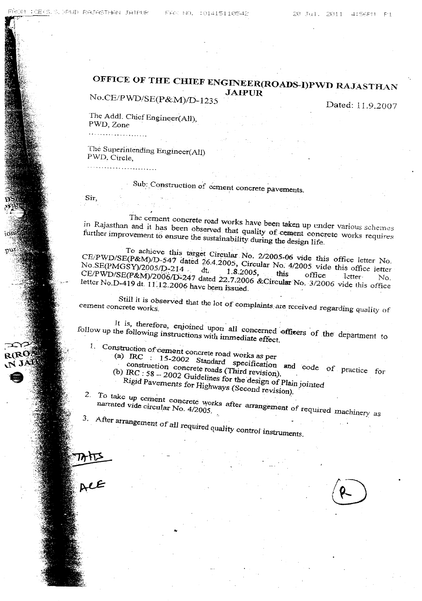## OFFICE OF THE CHIEF ENGINEER(ROADS-I)PWD RAJASTHAN JAIPUR

*No.CElPWD/SE(P&M)JI)\_1235*

Dated: 11.9.2007

The Addl. Chief Engineer(All), PWD, Zone

..- .....' . '.'... ~...- - .

The Superintending Engineer(All) FWD. Circle,

- - - ~ .

## Sub: Construction of cement concrete pavements.

Sir,

The cement concrete road works have been taken up under various schemes<br>in Rajasthan and it has been observed that quality of cement concrete works requires<br>further improvement to ensure the sustainability during the desig further improvement is been observed that quality of cement concrete works  $\frac{1}{2}$ further improvement to ensure the sustainability during the design  $l$ 

To achieve this target Circular, No. 2/2005-06 vide this office letter No.<br>CE/PWD/SE(P&M)/D-547 dated 26.4.2005, Circular No. 4/2005 vide this office letter<br>No.SE(PMGSY)/2005/D-214 d+ No. SE(PMGSV)/2005/D-541 dated 26.4.2005, Circular No. 4/2005 vide this office letter No. *No.SE(PMGSY)/2005/D-214.* dt. 1.8.2005. this office Intervention Intervention of the CFC of the Intervention of the Intervention of the CFC of the Intervention of the Intervention of the Intervention of the Intervention o *CE/PWD/SE(P&M)/2006/D":'247* dated 22.7.2006 &Circular No. *3/2006* vide this office letter No.D-419 dt. 11~.12.2006 have been issued.

Still it is observed that the lot of complaints are received regarding quality of cement concrete works.

It is, therefore, enjoined upon all concerned officers of the department to. follow up the following instructions with immediate effect.

- 1. Construction of'cement concrete road works as per
	- (a) IRe : 15-2002 Standard specification and code of practice for . constmcticm Concrete toads (Third revision). " construction concrete roads (Third revision).<br>(b)  $\text{IRC}: 58 - 2002$  Guidelines for the design of Plain jointed

Rigid Pavements for Highways (Second revision).

2. To take up cement concrete works after arrangement of required machinery as

3. After arrangement of all required quality control instruments.

..